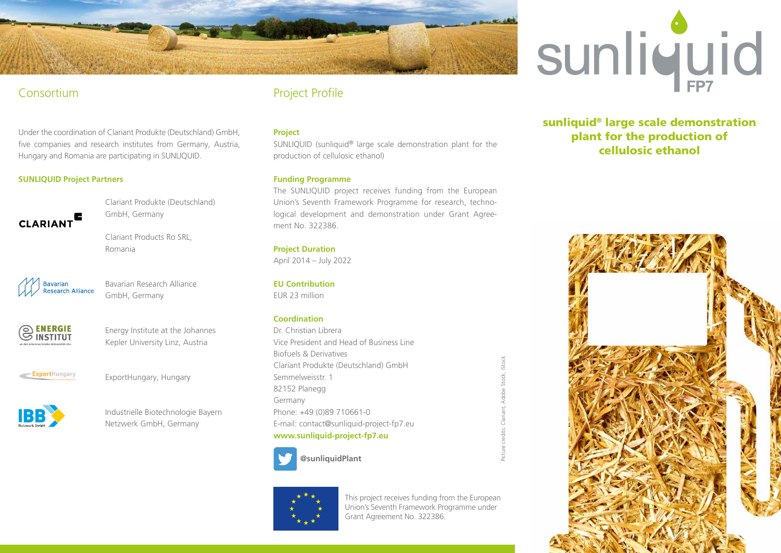

## Consortium

Under the coordination of Clariant Produkte (Deutschland) GmbH, five companies and research institutes from Germany, Austria, Hungary and Romania are participating in SUNLIQUID.

### **SUNLIQUID Project Partners**



Clariant Produkte (Deutschland) GmbH, Germany

Clariant Products Ro SRL, Romania



Bavarian Research Alliance GmbH, Germany



Energy Institute at the Johannes Kepler University Linz, Austria

ExportHungary

ExportHungary, Hungary



Industrielle Biotechnologie Bayern Netzwerk GmbH, Germany

# Project Profile

#### **Project**

SUNLIQUID (sunliquid® large scale demonstration plant for the production of cellulosic ethanol)

#### **Funding Programme**

The SUNLIQUID project receives funding from the European Union's Seventh Framework Programme for research, technological development and demonstration under Grant Agreement No. 322386.

#### **Project Duration**

April 2014 – July 2022

#### **EU Contribution**

EUR 23 million

#### **Coordination**

Dr. Christian Librera Vice President and Head of Business Line Biofuels & Derivatives Clariant Produkte (Deutschland) GmbH Semmelweisstr. 1 82152 Planegg Germany Phone: +49 (0)89 710661-0 E-mail: contact@sunliquid-project-fp7.eu **www.sunliquid-project-fp7.eu** 



This project receives funding from the European Union's Seventh Framework Programme under Grant Agreement No. 322386.

Picture credits: Clariant, Adobe Stock, iStock



sunliquid® large scale demonstration plant for the production of cellulosic ethanol